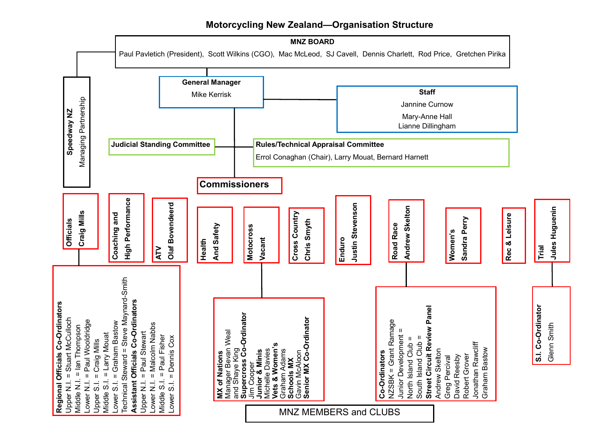# **Motorcycling New Zealand—Organisation Structure**